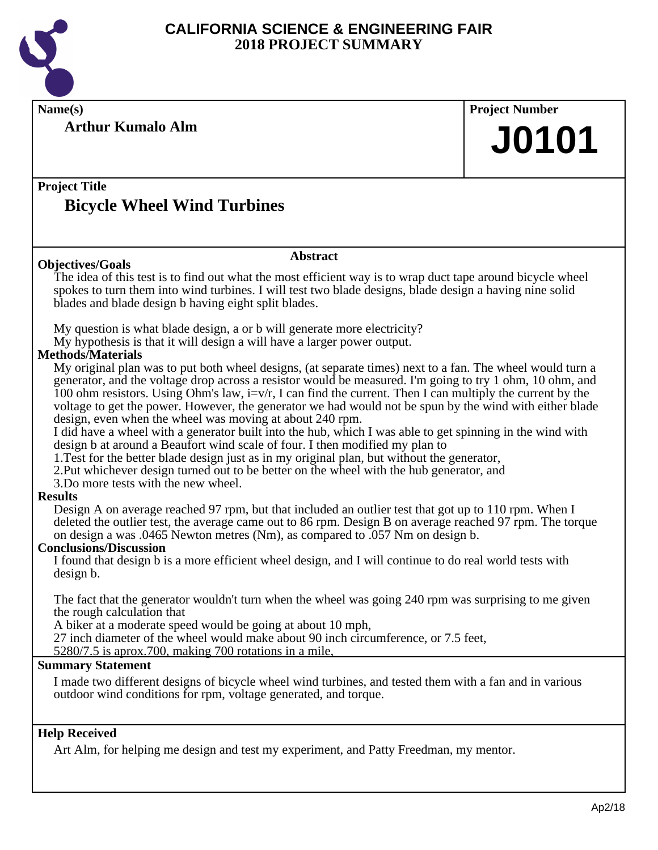

**Arthur Kumalo Alm**

**Name(s) Project Number J0101**

#### **Project Title Bicycle Wheel Wind Turbines**

#### **Abstract**

The idea of this test is to find out what the most efficient way is to wrap duct tape around bicycle wheel spokes to turn them into wind turbines. I will test two blade designs, blade design a having nine solid blades and blade design b having eight split blades.

My question is what blade design, a or b will generate more electricity?

My hypothesis is that it will design a will have a larger power output.

#### **Methods/Materials**

**Objectives/Goals**

My original plan was to put both wheel designs, (at separate times) next to a fan. The wheel would turn a generator, and the voltage drop across a resistor would be measured. I'm going to try 1 ohm, 10 ohm, and 100 ohm resistors. Using Ohm's law,  $i=v/r$ , I can find the current. Then I can multiply the current by the voltage to get the power. However, the generator we had would not be spun by the wind with either blade design, even when the wheel was moving at about 240 rpm.

I did have a wheel with a generator built into the hub, which I was able to get spinning in the wind with design b at around a Beaufort wind scale of four. I then modified my plan to

1.Test for the better blade design just as in my original plan, but without the generator,

2.Put whichever design turned out to be better on the wheel with the hub generator, and

3.Do more tests with the new wheel.

#### **Results**

Design A on average reached 97 rpm, but that included an outlier test that got up to 110 rpm. When I deleted the outlier test, the average came out to 86 rpm. Design B on average reached 97 rpm. The torque on design a was .0465 Newton metres (Nm), as compared to .057 Nm on design b.

#### **Conclusions/Discussion**

I found that design b is a more efficient wheel design, and I will continue to do real world tests with design b.

The fact that the generator wouldn't turn when the wheel was going 240 rpm was surprising to me given the rough calculation that

A biker at a moderate speed would be going at about 10 mph,

27 inch diameter of the wheel would make about 90 inch circumference, or 7.5 feet,

5280/7.5 is aprox.700, making 700 rotations in a mile,

#### **Summary Statement**

I made two different designs of bicycle wheel wind turbines, and tested them with a fan and in various outdoor wind conditions for rpm, voltage generated, and torque.

#### **Help Received**

Art Alm, for helping me design and test my experiment, and Patty Freedman, my mentor.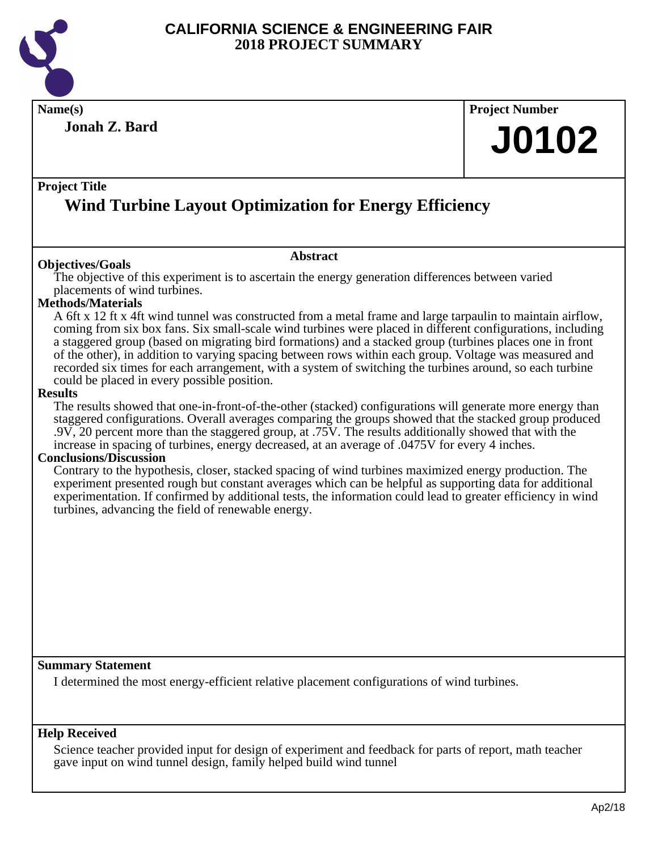

**Results**

#### **CALIFORNIA SCIENCE & ENGINEERING FAIR 2018 PROJECT SUMMARY**

**Name(s) Project Number Project Title Abstract Jonah Z. Bard Wind Turbine Layout Optimization for Energy Efficiency Objectives/Goals** The objective of this experiment is to ascertain the energy generation differences between varied placements of wind turbines. **Methods/Materials** A 6ft x 12 ft x 4ft wind tunnel was constructed from a metal frame and large tarpaulin to maintain airflow, coming from six box fans. Six small-scale wind turbines were placed in different configurations, including a staggered group (based on migrating bird formations) and a stacked group (turbines places one in front of the other), in addition to varying spacing between rows within each group. Voltage was measured and recorded six times for each arrangement, with a system of switching the turbines around, so each turbine could be placed in every possible position. The results showed that one-in-front-of-the-other (stacked) configurations will generate more energy than staggered configurations. Overall averages comparing the groups showed that the stacked group produced .9V, 20 percent more than the staggered group, at .75V. The results additionally showed that with the increase in spacing of turbines, energy decreased, at an average of .0475V for every 4 inches. **Conclusions/Discussion** Contrary to the hypothesis, closer, stacked spacing of wind turbines maximized energy production. The experiment presented rough but constant averages which can be helpful as supporting data for additional

turbines, advancing the field of renewable energy.

#### **Summary Statement**

I determined the most energy-efficient relative placement configurations of wind turbines.

#### **Help Received**

Science teacher provided input for design of experiment and feedback for parts of report, math teacher gave input on wind tunnel design, family helped build wind tunnel

experimentation. If confirmed by additional tests, the information could lead to greater efficiency in wind

**J0102**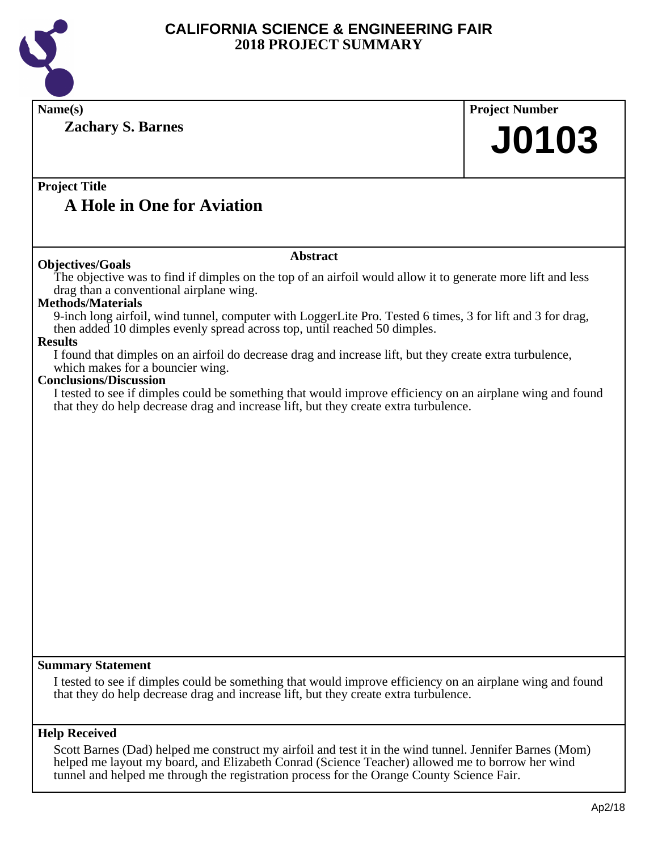

| Name(s)                                                                                                                                                                                                                                                                                                 | <b>Project Number</b> |
|---------------------------------------------------------------------------------------------------------------------------------------------------------------------------------------------------------------------------------------------------------------------------------------------------------|-----------------------|
| <b>Zachary S. Barnes</b>                                                                                                                                                                                                                                                                                | <b>J0103</b>          |
|                                                                                                                                                                                                                                                                                                         |                       |
| <b>Project Title</b>                                                                                                                                                                                                                                                                                    |                       |
| <b>A Hole in One for Aviation</b>                                                                                                                                                                                                                                                                       |                       |
| <b>Abstract</b>                                                                                                                                                                                                                                                                                         |                       |
| <b>Objectives/Goals</b><br>The objective was to find if dimples on the top of an airfoil would allow it to generate more lift and less<br>drag than a conventional airplane wing.                                                                                                                       |                       |
| <b>Methods/Materials</b><br>9-inch long airfoil, wind tunnel, computer with LoggerLite Pro. Tested 6 times, 3 for lift and 3 for drag,<br>then added 10 dimples evenly spread across top, until reached 50 dimples.                                                                                     |                       |
| <b>Results</b><br>I found that dimples on an airfoil do decrease drag and increase lift, but they create extra turbulence,<br>which makes for a bouncier wing.                                                                                                                                          |                       |
| <b>Conclusions/Discussion</b><br>I tested to see if dimples could be something that would improve efficiency on an airplane wing and found<br>that they do help decrease drag and increase lift, but they create extra turbulence.                                                                      |                       |
|                                                                                                                                                                                                                                                                                                         |                       |
|                                                                                                                                                                                                                                                                                                         |                       |
|                                                                                                                                                                                                                                                                                                         |                       |
|                                                                                                                                                                                                                                                                                                         |                       |
|                                                                                                                                                                                                                                                                                                         |                       |
|                                                                                                                                                                                                                                                                                                         |                       |
|                                                                                                                                                                                                                                                                                                         |                       |
|                                                                                                                                                                                                                                                                                                         |                       |
|                                                                                                                                                                                                                                                                                                         |                       |
|                                                                                                                                                                                                                                                                                                         |                       |
|                                                                                                                                                                                                                                                                                                         |                       |
| <b>Summary Statement</b>                                                                                                                                                                                                                                                                                |                       |
| I tested to see if dimples could be something that would improve efficiency on an airplane wing and found<br>that they do help decrease drag and increase lift, but they create extra turbulence.                                                                                                       |                       |
| <b>Help Received</b>                                                                                                                                                                                                                                                                                    |                       |
| Scott Barnes (Dad) helped me construct my airfoil and test it in the wind tunnel. Jennifer Barnes (Mom)<br>helped me layout my board, and Elizabeth Conrad (Science Teacher) allowed me to borrow her wind<br>tunnel and helped me through the registration process for the Orange County Science Fair. |                       |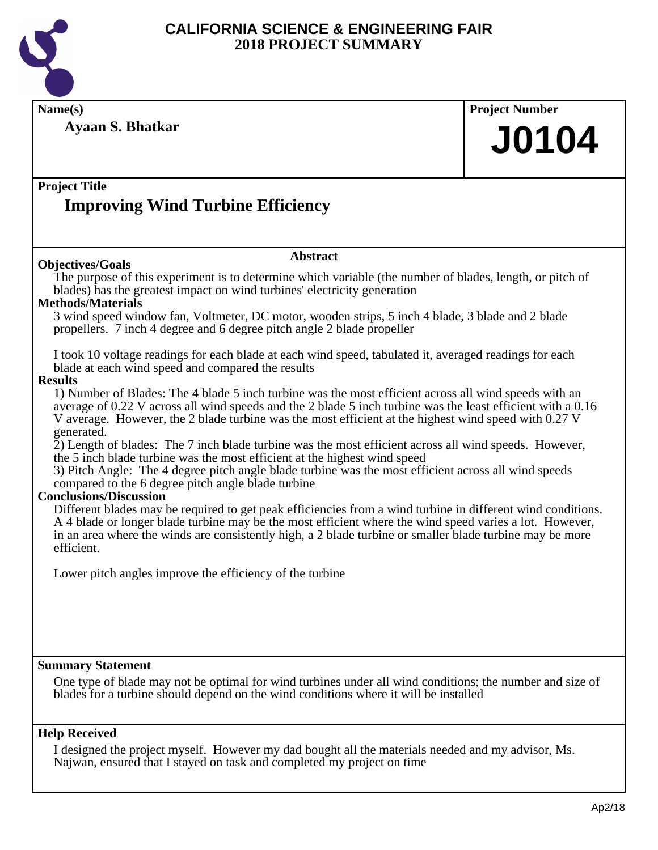

**Name(s) Project Number**

**Project Title Abstract Ayaan S. Bhatkar Improving Wind Turbine Efficiency J0104 Objectives/Goals** The purpose of this experiment is to determine which variable (the number of blades, length, or pitch of blades) has the greatest impact on wind turbines' electricity generation **Methods/Materials** 3 wind speed window fan, Voltmeter, DC motor, wooden strips, 5 inch 4 blade, 3 blade and 2 blade propellers. 7 inch 4 degree and 6 degree pitch angle 2 blade propeller I took 10 voltage readings for each blade at each wind speed, tabulated it, averaged readings for each blade at each wind speed and compared the results **Results** 1) Number of Blades: The 4 blade 5 inch turbine was the most efficient across all wind speeds with an average of 0.22 V across all wind speeds and the 2 blade 5 inch turbine was the least efficient with a 0.16 V average. However, the 2 blade turbine was the most efficient at the highest wind speed with 0.27 V generated. 2) Length of blades: The 7 inch blade turbine was the most efficient across all wind speeds. However, the 5 inch blade turbine was the most efficient at the highest wind speed 3) Pitch Angle: The 4 degree pitch angle blade turbine was the most efficient across all wind speeds compared to the 6 degree pitch angle blade turbine **Conclusions/Discussion** Different blades may be required to get peak efficiencies from a wind turbine in different wind conditions. A 4 blade or longer blade turbine may be the most efficient where the wind speed varies a lot. However, in an area where the winds are consistently high, a 2 blade turbine or smaller blade turbine may be more efficient. Lower pitch angles improve the efficiency of the turbine

#### **Summary Statement**

One type of blade may not be optimal for wind turbines under all wind conditions; the number and size of blades for a turbine should depend on the wind conditions where it will be installed

#### **Help Received**

I designed the project myself. However my dad bought all the materials needed and my advisor, Ms. Najwan, ensured that I stayed on task and completed my project on time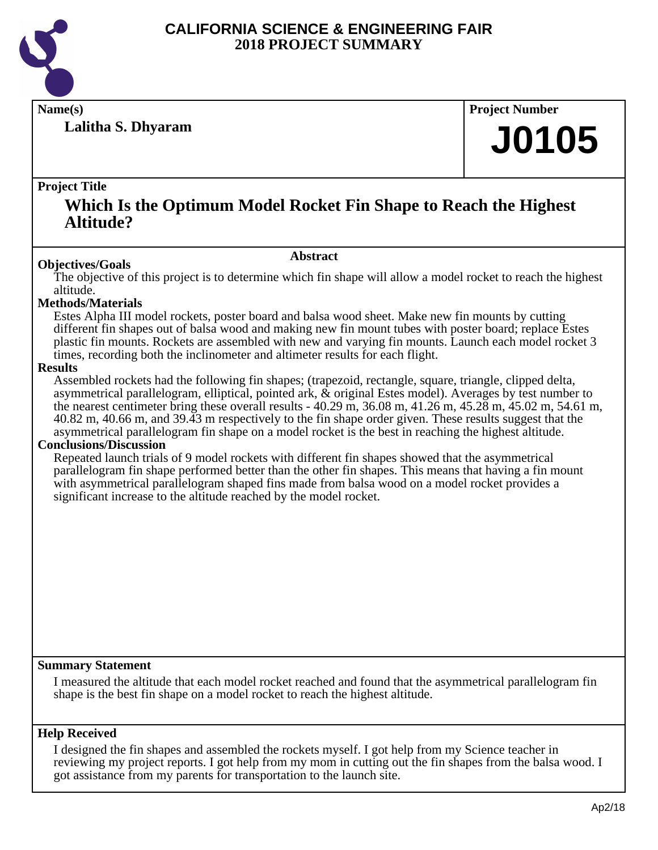

**Lalitha S. Dhyaram**

**Name(s) Project Number**

## **J0105**

#### **Project Title**

### **Which Is the Optimum Model Rocket Fin Shape to Reach the Highest Altitude?**

#### **Abstract**

**Objectives/Goals** The objective of this project is to determine which fin shape will allow a model rocket to reach the highest altitude.

#### **Methods/Materials**

Estes Alpha III model rockets, poster board and balsa wood sheet. Make new fin mounts by cutting different fin shapes out of balsa wood and making new fin mount tubes with poster board; replace Estes plastic fin mounts. Rockets are assembled with new and varying fin mounts. Launch each model rocket 3 times, recording both the inclinometer and altimeter results for each flight.

#### **Results**

Assembled rockets had the following fin shapes; (trapezoid, rectangle, square, triangle, clipped delta, asymmetrical parallelogram, elliptical, pointed ark, & original Estes model). Averages by test number to the nearest centimeter bring these overall results - 40.29 m, 36.08 m, 41.26 m, 45.28 m, 45.02 m, 54.61 m, 40.82 m, 40.66 m, and 39.43 m respectively to the fin shape order given. These results suggest that the asymmetrical parallelogram fin shape on a model rocket is the best in reaching the highest altitude.

#### **Conclusions/Discussion**

Repeated launch trials of 9 model rockets with different fin shapes showed that the asymmetrical parallelogram fin shape performed better than the other fin shapes. This means that having a fin mount with asymmetrical parallelogram shaped fins made from balsa wood on a model rocket provides a significant increase to the altitude reached by the model rocket.

#### **Summary Statement**

I measured the altitude that each model rocket reached and found that the asymmetrical parallelogram fin shape is the best fin shape on a model rocket to reach the highest altitude.

#### **Help Received**

I designed the fin shapes and assembled the rockets myself. I got help from my Science teacher in reviewing my project reports. I got help from my mom in cutting out the fin shapes from the balsa wood. I got assistance from my parents for transportation to the launch site.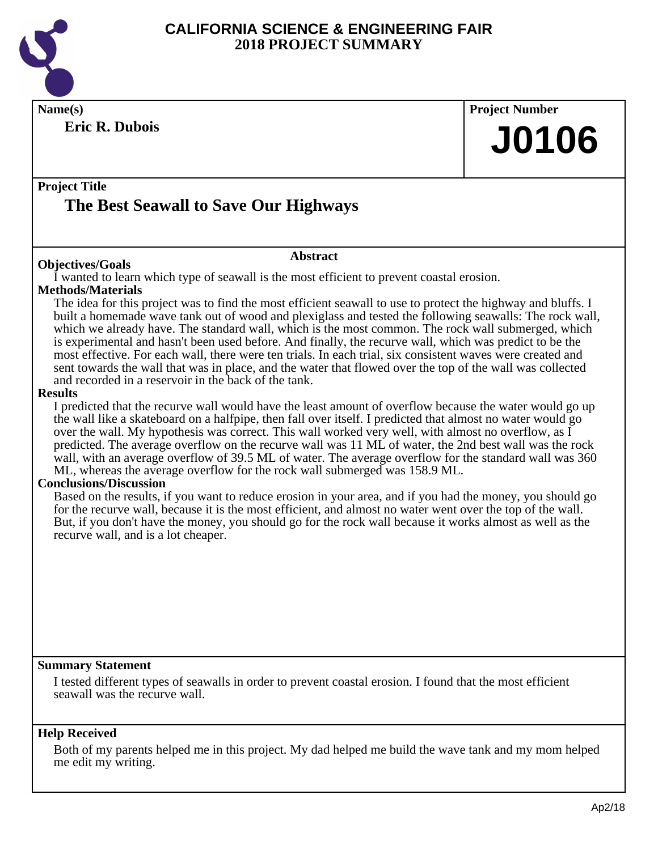

**Eric R. Dubois**

## **Name(s) Project Number J0106**

#### **Project Title**

## **The Best Seawall to Save Our Highways**

#### **Abstract**

**Objectives/Goals** I wanted to learn which type of seawall is the most efficient to prevent coastal erosion.

#### **Methods/Materials**

The idea for this project was to find the most efficient seawall to use to protect the highway and bluffs. I built a homemade wave tank out of wood and plexiglass and tested the following seawalls: The rock wall, which we already have. The standard wall, which is the most common. The rock wall submerged, which is experimental and hasn't been used before. And finally, the recurve wall, which was predict to be the most effective. For each wall, there were ten trials. In each trial, six consistent waves were created and sent towards the wall that was in place, and the water that flowed over the top of the wall was collected and recorded in a reservoir in the back of the tank.

#### **Results**

I predicted that the recurve wall would have the least amount of overflow because the water would go up the wall like a skateboard on a halfpipe, then fall over itself. I predicted that almost no water would go over the wall. My hypothesis was correct. This wall worked very well, with almost no overflow, as  $\overline{I}$ predicted. The average overflow on the recurve wall was 11 ML of water, the 2nd best wall was the rock wall, with an average overflow of 39.5 ML of water. The average overflow for the standard wall was 360 ML, whereas the average overflow for the rock wall submerged was 158.9 ML.

#### **Conclusions/Discussion**

Based on the results, if you want to reduce erosion in your area, and if you had the money, you should go for the recurve wall, because it is the most efficient, and almost no water went over the top of the wall. But, if you don't have the money, you should go for the rock wall because it works almost as well as the recurve wall, and is a lot cheaper.

#### **Summary Statement**

I tested different types of seawalls in order to prevent coastal erosion. I found that the most efficient seawall was the recurve wall.

#### **Help Received**

Both of my parents helped me in this project. My dad helped me build the wave tank and my mom helped me edit my writing.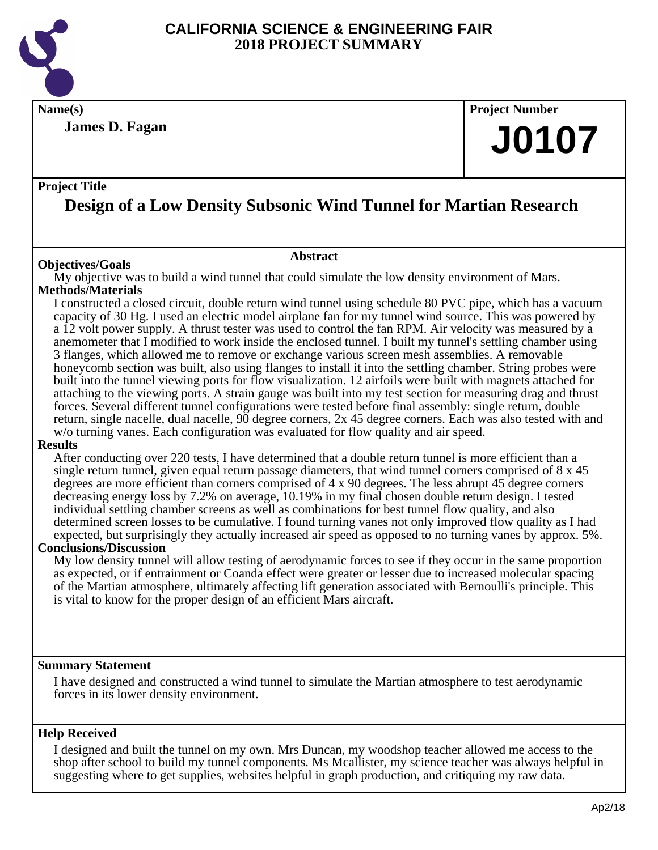

**Name(s) Project Number**

**James D. Fagan**

#### **Project Title**

## **Design of a Low Density Subsonic Wind Tunnel for Martian Research**

#### **Abstract**

**Objectives/Goals** My objective was to build a wind tunnel that could simulate the low density environment of Mars. **Methods/Materials**

I constructed a closed circuit, double return wind tunnel using schedule 80 PVC pipe, which has a vacuum capacity of 30 Hg. I used an electric model airplane fan for my tunnel wind source. This was powered by a 12 volt power supply. A thrust tester was used to control the fan RPM. Air velocity was measured by a anemometer that I modified to work inside the enclosed tunnel. I built my tunnel's settling chamber using 3 flanges, which allowed me to remove or exchange various screen mesh assemblies. A removable honeycomb section was built, also using flanges to install it into the settling chamber. String probes were built into the tunnel viewing ports for flow visualization. 12 airfoils were built with magnets attached for attaching to the viewing ports. A strain gauge was built into my test section for measuring drag and thrust forces. Several different tunnel configurations were tested before final assembly: single return, double return, single nacelle, dual nacelle, 90 degree corners, 2x 45 degree corners. Each was also tested with and w/o turning vanes. Each configuration was evaluated for flow quality and air speed.

#### **Results**

After conducting over 220 tests, I have determined that a double return tunnel is more efficient than a single return tunnel, given equal return passage diameters, that wind tunnel corners comprised of 8 x 45 degrees are more efficient than corners comprised of 4 x 90 degrees. The less abrupt 45 degree corners decreasing energy loss by 7.2% on average, 10.19% in my final chosen double return design. I tested individual settling chamber screens as well as combinations for best tunnel flow quality, and also determined screen losses to be cumulative. I found turning vanes not only improved flow quality as I had expected, but surprisingly they actually increased air speed as opposed to no turning vanes by approx. 5%.

#### **Conclusions/Discussion**

My low density tunnel will allow testing of aerodynamic forces to see if they occur in the same proportion as expected, or if entrainment or Coanda effect were greater or lesser due to increased molecular spacing of the Martian atmosphere, ultimately affecting lift generation associated with Bernoulli's principle. This is vital to know for the proper design of an efficient Mars aircraft.

#### **Summary Statement**

I have designed and constructed a wind tunnel to simulate the Martian atmosphere to test aerodynamic forces in its lower density environment.

#### **Help Received**

I designed and built the tunnel on my own. Mrs Duncan, my woodshop teacher allowed me access to the shop after school to build my tunnel components. Ms Mcallister, my science teacher was always helpful in suggesting where to get supplies, websites helpful in graph production, and critiquing my raw data.

**J0107**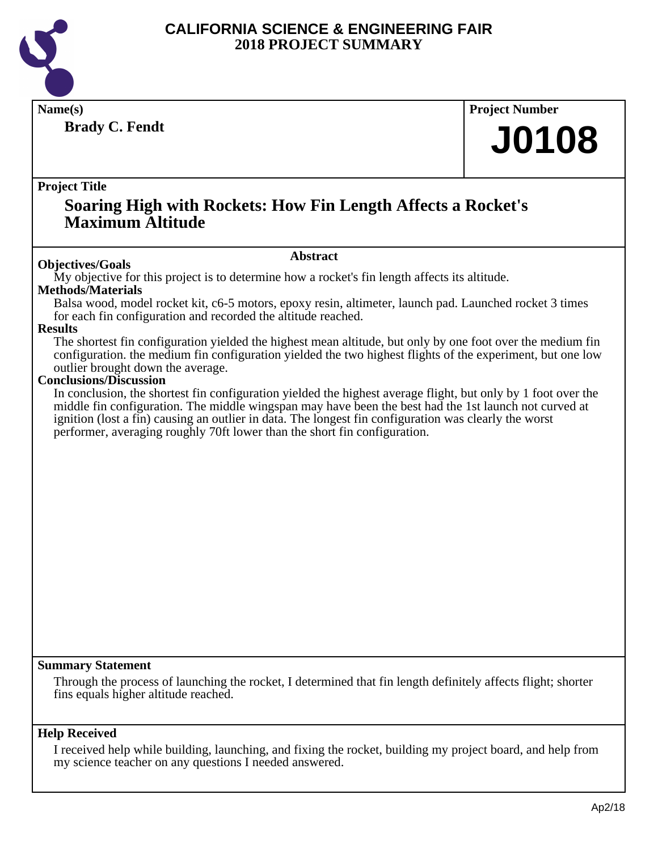

**Brady C. Fendt**

**Name(s) Project Number**

## **J0108**

#### **Project Title**

### **Soaring High with Rockets: How Fin Length Affects a Rocket's Maximum Altitude**

#### **Abstract**

**Objectives/Goals** My objective for this project is to determine how a rocket's fin length affects its altitude.

#### **Methods/Materials**

Balsa wood, model rocket kit, c6-5 motors, epoxy resin, altimeter, launch pad. Launched rocket 3 times for each fin configuration and recorded the altitude reached.

#### **Results**

The shortest fin configuration yielded the highest mean altitude, but only by one foot over the medium fin configuration. the medium fin configuration yielded the two highest flights of the experiment, but one low outlier brought down the average.

#### **Conclusions/Discussion**

In conclusion, the shortest fin configuration yielded the highest average flight, but only by 1 foot over the middle fin configuration. The middle wingspan may have been the best had the 1st launch not curved at ignition (lost a fin) causing an outlier in data. The longest fin configuration was clearly the worst performer, averaging roughly 70ft lower than the short fin configuration.

#### **Summary Statement**

Through the process of launching the rocket, I determined that fin length definitely affects flight; shorter fins equals higher altitude reached.

#### **Help Received**

I received help while building, launching, and fixing the rocket, building my project board, and help from my science teacher on any questions I needed answered.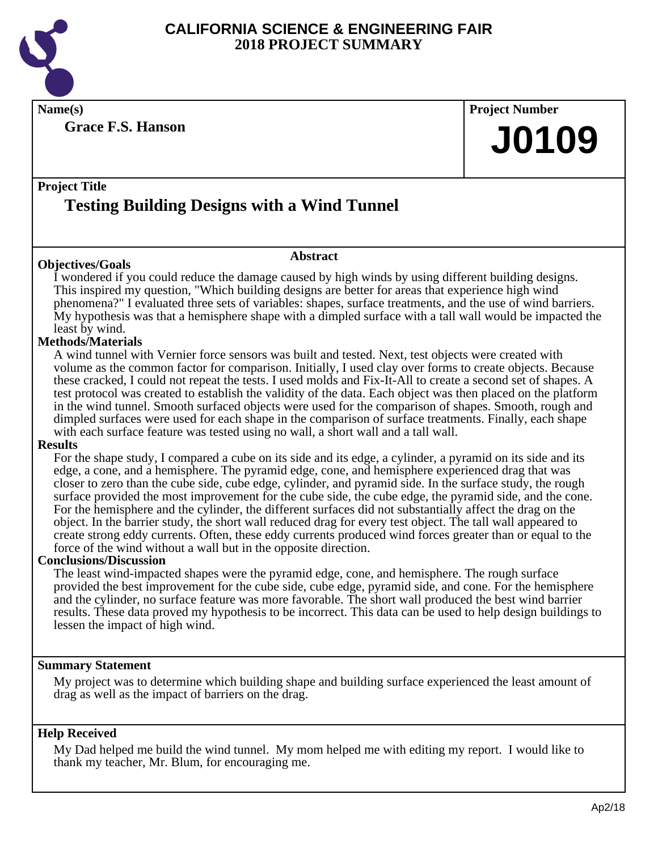

**Grace F.S. Hanson**

## **Name(s) Project Number J0109**

### **Project Title Testing Building Designs with a Wind Tunnel**

#### **Objectives/Goals**

I wondered if you could reduce the damage caused by high winds by using different building designs. This inspired my question, "Which building designs are better for areas that experience high wind phenomena?" I evaluated three sets of variables: shapes, surface treatments, and the use of wind barriers. My hypothesis was that a hemisphere shape with a dimpled surface with a tall wall would be impacted the least by wind.

**Abstract**

#### **Methods/Materials**

A wind tunnel with Vernier force sensors was built and tested. Next, test objects were created with volume as the common factor for comparison. Initially, I used clay over forms to create objects. Because these cracked, I could not repeat the tests. I used molds and Fix-It-All to create a second set of shapes. A test protocol was created to establish the validity of the data. Each object was then placed on the platform in the wind tunnel. Smooth surfaced objects were used for the comparison of shapes. Smooth, rough and dimpled surfaces were used for each shape in the comparison of surface treatments. Finally, each shape with each surface feature was tested using no wall, a short wall and a tall wall.

#### **Results**

For the shape study, I compared a cube on its side and its edge, a cylinder, a pyramid on its side and its edge, a cone, and a hemisphere. The pyramid edge, cone, and hemisphere experienced drag that was closer to zero than the cube side, cube edge, cylinder, and pyramid side. In the surface study, the rough surface provided the most improvement for the cube side, the cube edge, the pyramid side, and the cone. For the hemisphere and the cylinder, the different surfaces did not substantially affect the drag on the object. In the barrier study, the short wall reduced drag for every test object. The tall wall appeared to create strong eddy currents. Often, these eddy currents produced wind forces greater than or equal to the force of the wind without a wall but in the opposite direction.

#### **Conclusions/Discussion**

The least wind-impacted shapes were the pyramid edge, cone, and hemisphere. The rough surface provided the best improvement for the cube side, cube edge, pyramid side, and cone. For the hemisphere and the cylinder, no surface feature was more favorable. The short wall produced the best wind barrier results. These data proved my hypothesis to be incorrect. This data can be used to help design buildings to lessen the impact of high wind.

#### **Summary Statement**

My project was to determine which building shape and building surface experienced the least amount of drag as well as the impact of barriers on the drag.

#### **Help Received**

My Dad helped me build the wind tunnel. My mom helped me with editing my report. I would like to thank my teacher, Mr. Blum, for encouraging me.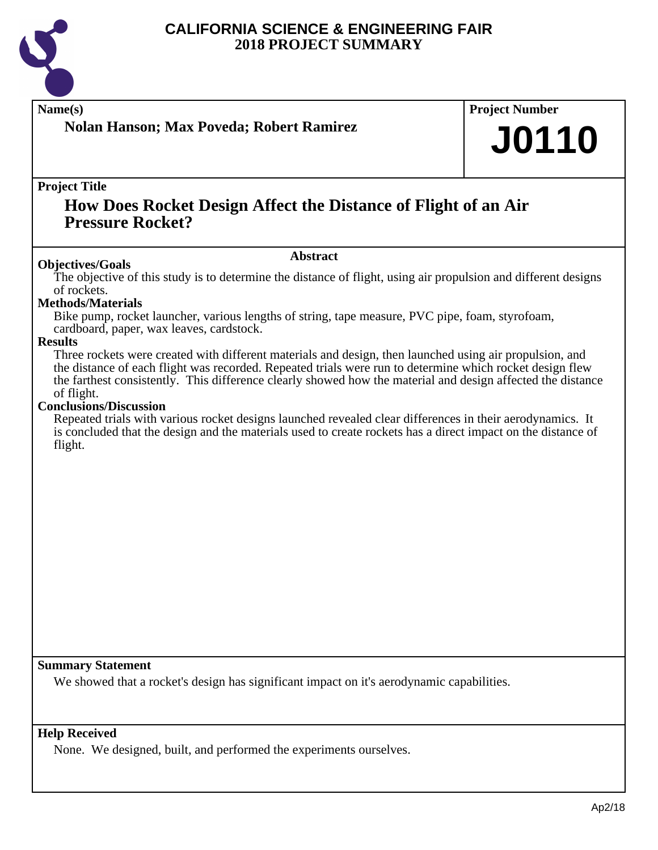

### **Nolan Hanson; Max Poveda; Robert Ramirez**

## **Name(s) Project Number J0110**

#### **Project Title**

### **How Does Rocket Design Affect the Distance of Flight of an Air Pressure Rocket?**

#### **Abstract**

**Objectives/Goals** The objective of this study is to determine the distance of flight, using air propulsion and different designs of rockets.

#### **Methods/Materials**

Bike pump, rocket launcher, various lengths of string, tape measure, PVC pipe, foam, styrofoam, cardboard, paper, wax leaves, cardstock.

#### **Results**

Three rockets were created with different materials and design, then launched using air propulsion, and the distance of each flight was recorded. Repeated trials were run to determine which rocket design flew the farthest consistently. This difference clearly showed how the material and design affected the distance of flight.

#### **Conclusions/Discussion**

Repeated trials with various rocket designs launched revealed clear differences in their aerodynamics. It is concluded that the design and the materials used to create rockets has a direct impact on the distance of flight.

#### **Summary Statement**

We showed that a rocket's design has significant impact on it's aerodynamic capabilities.

#### **Help Received**

None. We designed, built, and performed the experiments ourselves.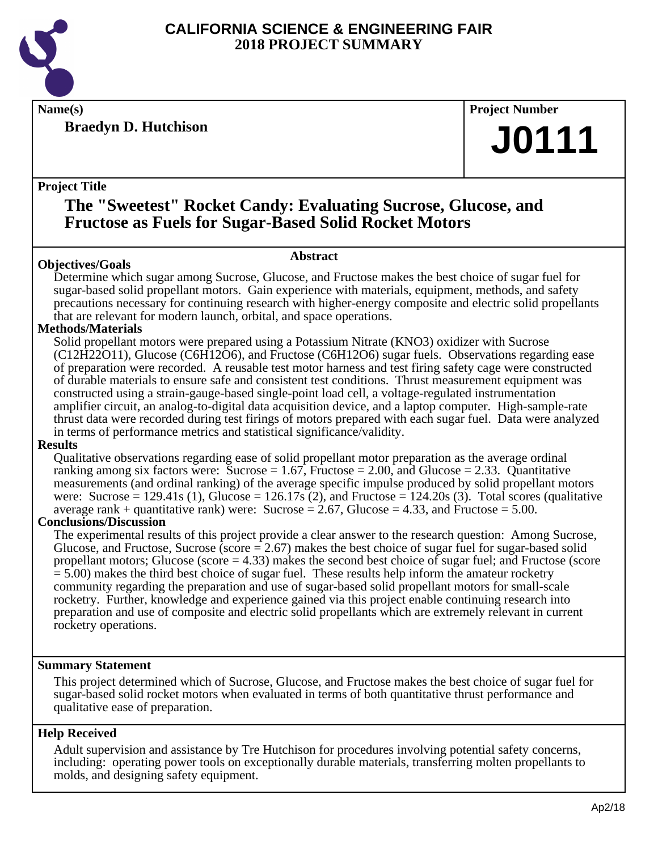

**Braedyn D. Hutchison**

**Name(s) Project Number**

## **J0111**

#### **Project Title**

### **The "Sweetest" Rocket Candy: Evaluating Sucrose, Glucose, and Fructose as Fuels for Sugar-Based Solid Rocket Motors**

#### **Objectives/Goals**

**Abstract**

Determine which sugar among Sucrose, Glucose, and Fructose makes the best choice of sugar fuel for sugar-based solid propellant motors. Gain experience with materials, equipment, methods, and safety precautions necessary for continuing research with higher-energy composite and electric solid propellants that are relevant for modern launch, orbital, and space operations.

#### **Methods/Materials**

Solid propellant motors were prepared using a Potassium Nitrate (KNO3) oxidizer with Sucrose (C12H22O11), Glucose (C6H12O6), and Fructose (C6H12O6) sugar fuels. Observations regarding ease of preparation were recorded. A reusable test motor harness and test firing safety cage were constructed of durable materials to ensure safe and consistent test conditions. Thrust measurement equipment was constructed using a strain-gauge-based single-point load cell, a voltage-regulated instrumentation amplifier circuit, an analog-to-digital data acquisition device, and a laptop computer. High-sample-rate thrust data were recorded during test firings of motors prepared with each sugar fuel. Data were analyzed in terms of performance metrics and statistical significance/validity.

#### **Results**

Qualitative observations regarding ease of solid propellant motor preparation as the average ordinal ranking among six factors were: Sucrose  $= 1.67$ , Fructose  $= 2.00$ , and Glucose  $= 2.33$ . Quantitative measurements (and ordinal ranking) of the average specific impulse produced by solid propellant motors were: Sucrose =  $129.41s$  (1), Glucose =  $126.17s$  (2), and Fructose =  $124.20s$  (3). Total scores (qualitative average rank + quantitative rank) were: Sucrose =  $2.67$ , Glucose =  $4.33$ , and Fructose =  $5.00$ .

#### **Conclusions/Discussion**

The experimental results of this project provide a clear answer to the research question: Among Sucrose, Glucose, and Fructose, Sucrose (score  $= 2.67$ ) makes the best choice of sugar fuel for sugar-based solid propellant motors; Glucose (score  $=$  4.33) makes the second best choice of sugar fuel; and Fructose (score  $= 5.00$ ) makes the third best choice of sugar fuel. These results help inform the amateur rocketry community regarding the preparation and use of sugar-based solid propellant motors for small-scale rocketry. Further, knowledge and experience gained via this project enable continuing research into preparation and use of composite and electric solid propellants which are extremely relevant in current rocketry operations.

#### **Summary Statement**

This project determined which of Sucrose, Glucose, and Fructose makes the best choice of sugar fuel for sugar-based solid rocket motors when evaluated in terms of both quantitative thrust performance and qualitative ease of preparation.

#### **Help Received**

Adult supervision and assistance by Tre Hutchison for procedures involving potential safety concerns, including: operating power tools on exceptionally durable materials, transferring molten propellants to molds, and designing safety equipment.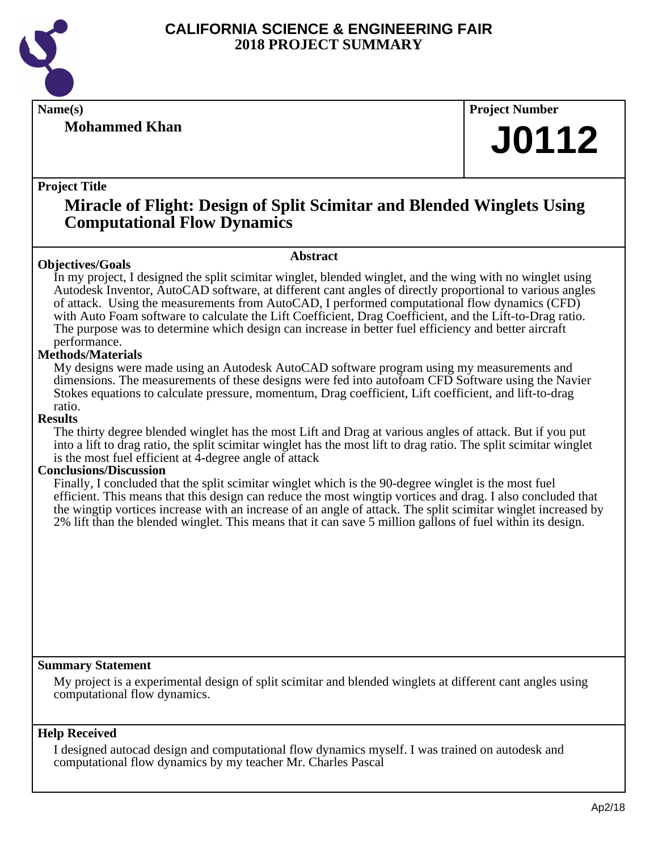

**Mohammed Khan**

**Name(s) Project Number**

## **J0112**

#### **Project Title**

### **Miracle of Flight: Design of Split Scimitar and Blended Winglets Using Computational Flow Dynamics**

#### **Objectives/Goals**

**Abstract**

In my project, I designed the split scimitar winglet, blended winglet, and the wing with no winglet using Autodesk Inventor, AutoCAD software, at different cant angles of directly proportional to various angles of attack. Using the measurements from AutoCAD, I performed computational flow dynamics (CFD) with Auto Foam software to calculate the Lift Coefficient, Drag Coefficient, and the Lift-to-Drag ratio. The purpose was to determine which design can increase in better fuel efficiency and better aircraft performance.

#### **Methods/Materials**

My designs were made using an Autodesk AutoCAD software program using my measurements and dimensions. The measurements of these designs were fed into autofoam CFD Software using the Navier Stokes equations to calculate pressure, momentum, Drag coefficient, Lift coefficient, and lift-to-drag ratio.

#### **Results**

The thirty degree blended winglet has the most Lift and Drag at various angles of attack. But if you put into a lift to drag ratio, the split scimitar winglet has the most lift to drag ratio. The split scimitar winglet is the most fuel efficient at  $\overline{4}$ -degree angle of attack

#### **Conclusions/Discussion**

Finally, I concluded that the split scimitar winglet which is the 90-degree winglet is the most fuel efficient. This means that this design can reduce the most wingtip vortices and drag. I also concluded that the wingtip vortices increase with an increase of an angle of attack. The split scimitar winglet increased by 2% lift than the blended winglet. This means that it can save 5 million gallons of fuel within its design.

#### **Summary Statement**

My project is a experimental design of split scimitar and blended winglets at different cant angles using computational flow dynamics.

#### **Help Received**

I designed autocad design and computational flow dynamics myself. I was trained on autodesk and computational flow dynamics by my teacher Mr. Charles Pascal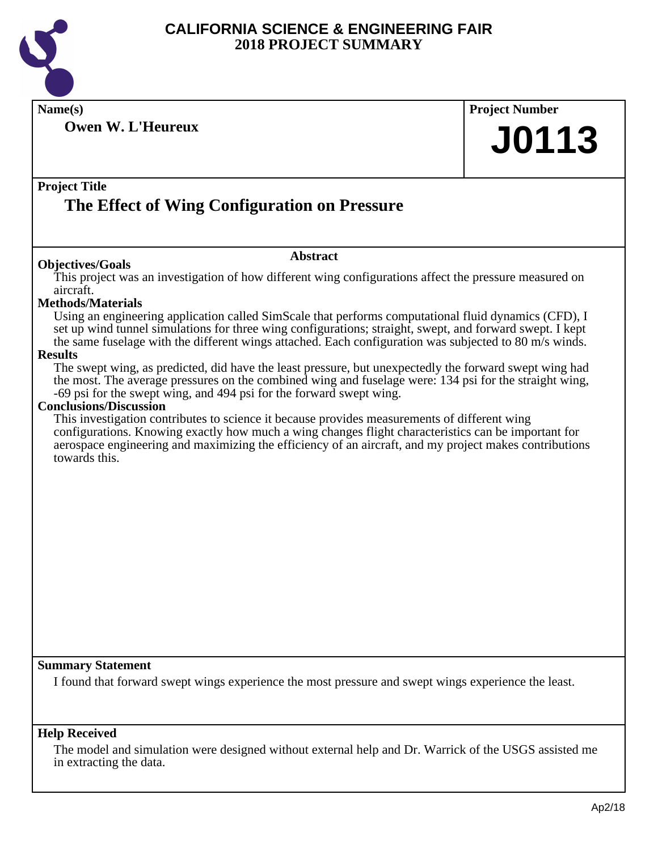

**Owen W. L'Heureux**

**Name(s) Project Number J0113**

#### **Project Title The Effect of Wing Configuration on Pressure**

#### **Abstract**

**Objectives/Goals** This project was an investigation of how different wing configurations affect the pressure measured on aircraft.

#### **Methods/Materials**

Using an engineering application called SimScale that performs computational fluid dynamics (CFD), I set up wind tunnel simulations for three wing configurations; straight, swept, and forward swept. I kept the same fuselage with the different wings attached. Each configuration was subjected to 80 m/s winds.

#### **Results**

The swept wing, as predicted, did have the least pressure, but unexpectedly the forward swept wing had the most. The average pressures on the combined wing and fuselage were: 134 psi for the straight wing, -69 psi for the swept wing, and 494 psi for the forward swept wing.

#### **Conclusions/Discussion**

This investigation contributes to science it because provides measurements of different wing configurations. Knowing exactly how much a wing changes flight characteristics can be important for aerospace engineering and maximizing the efficiency of an aircraft, and my project makes contributions towards this.

#### **Summary Statement**

I found that forward swept wings experience the most pressure and swept wings experience the least.

#### **Help Received**

The model and simulation were designed without external help and Dr. Warrick of the USGS assisted me in extracting the data.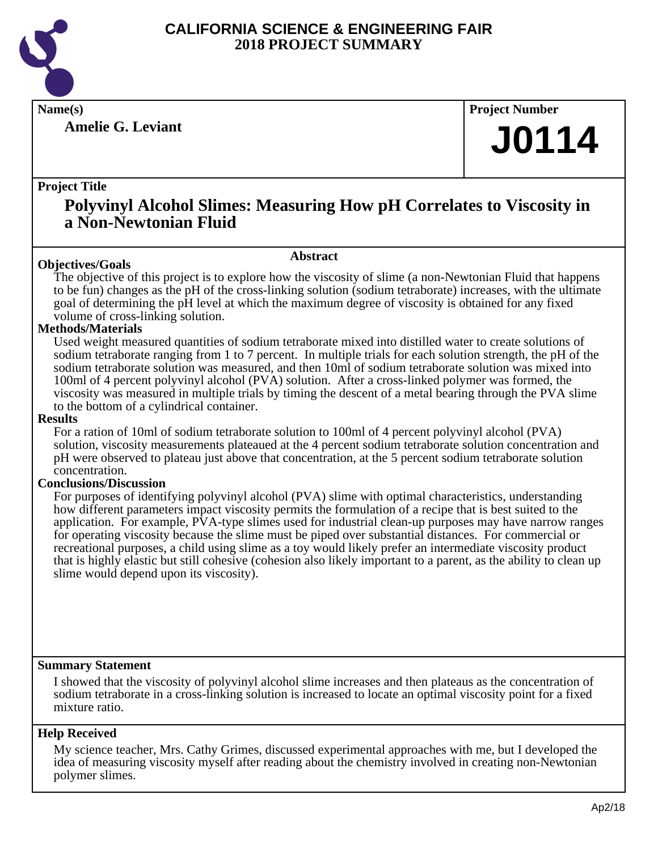

**Amelie G. Leviant**

**Name(s) Project Number**

## **J0114**

#### **Project Title**

### **Polyvinyl Alcohol Slimes: Measuring How pH Correlates to Viscosity in a Non-Newtonian Fluid**

**Abstract**

#### **Objectives/Goals**

The objective of this project is to explore how the viscosity of slime (a non-Newtonian Fluid that happens to be fun) changes as the pH of the cross-linking solution (sodium tetraborate) increases, with the ultimate goal of determining the pH level at which the maximum degree of viscosity is obtained for any fixed volume of cross-linking solution.

#### **Methods/Materials**

Used weight measured quantities of sodium tetraborate mixed into distilled water to create solutions of sodium tetraborate ranging from 1 to 7 percent. In multiple trials for each solution strength, the pH of the sodium tetraborate solution was measured, and then 10ml of sodium tetraborate solution was mixed into 100ml of 4 percent polyvinyl alcohol (PVA) solution. After a cross-linked polymer was formed, the viscosity was measured in multiple trials by timing the descent of a metal bearing through the PVA slime to the bottom of a cylindrical container.

#### **Results**

For a ration of 10ml of sodium tetraborate solution to 100ml of 4 percent polyvinyl alcohol (PVA) solution, viscosity measurements plateaued at the 4 percent sodium tetraborate solution concentration and pH were observed to plateau just above that concentration, at the 5 percent sodium tetraborate solution concentration.

#### **Conclusions/Discussion**

For purposes of identifying polyvinyl alcohol (PVA) slime with optimal characteristics, understanding how different parameters impact viscosity permits the formulation of a recipe that is best suited to the application. For example, PVA-type slimes used for industrial clean-up purposes may have narrow ranges for operating viscosity because the slime must be piped over substantial distances. For commercial or recreational purposes, a child using slime as a toy would likely prefer an intermediate viscosity product that is highly elastic but still cohesive (cohesion also likely important to a parent, as the ability to clean up slime would depend upon its viscosity).

#### **Summary Statement**

I showed that the viscosity of polyvinyl alcohol slime increases and then plateaus as the concentration of sodium tetraborate in a cross-linking solution is increased to locate an optimal viscosity point for a fixed mixture ratio.

#### **Help Received**

My science teacher, Mrs. Cathy Grimes, discussed experimental approaches with me, but I developed the idea of measuring viscosity myself after reading about the chemistry involved in creating non-Newtonian polymer slimes.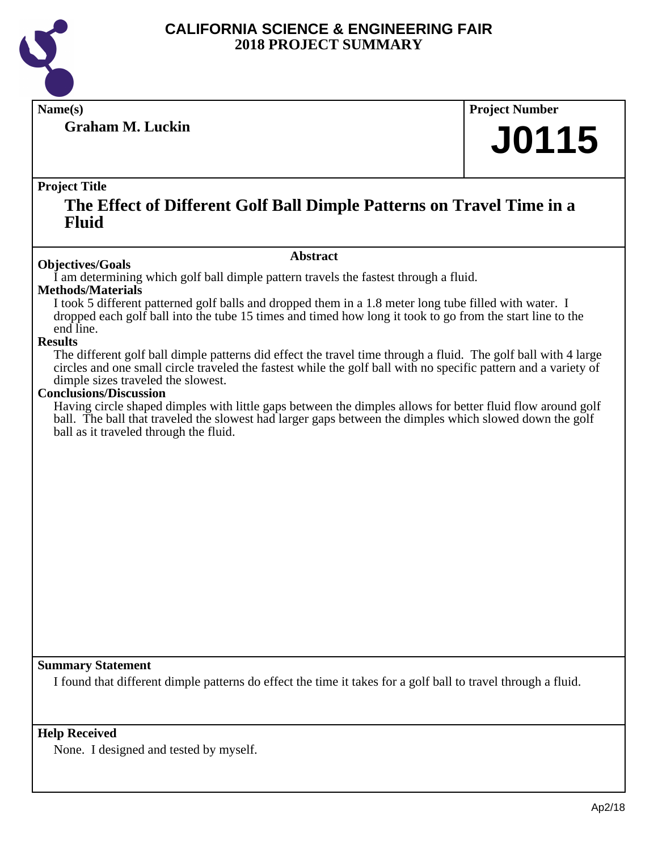

**Graham M. Luckin**

**Name(s) Project Number**

## **J0115**

#### **Project Title**

### **The Effect of Different Golf Ball Dimple Patterns on Travel Time in a Fluid**

#### **Abstract**

**Objectives/Goals** I am determining which golf ball dimple pattern travels the fastest through a fluid.

#### **Methods/Materials**

I took 5 different patterned golf balls and dropped them in a 1.8 meter long tube filled with water. I dropped each golf ball into the tube 15 times and timed how long it took to go from the start line to the end line.

#### **Results**

The different golf ball dimple patterns did effect the travel time through a fluid. The golf ball with 4 large circles and one small circle traveled the fastest while the golf ball with no specific pattern and a variety of dimple sizes traveled the slowest.

#### **Conclusions/Discussion**

Having circle shaped dimples with little gaps between the dimples allows for better fluid flow around golf ball. The ball that traveled the slowest had larger gaps between the dimples which slowed down the golf ball as it traveled through the fluid.

#### **Summary Statement**

I found that different dimple patterns do effect the time it takes for a golf ball to travel through a fluid.

#### **Help Received**

None. I designed and tested by myself.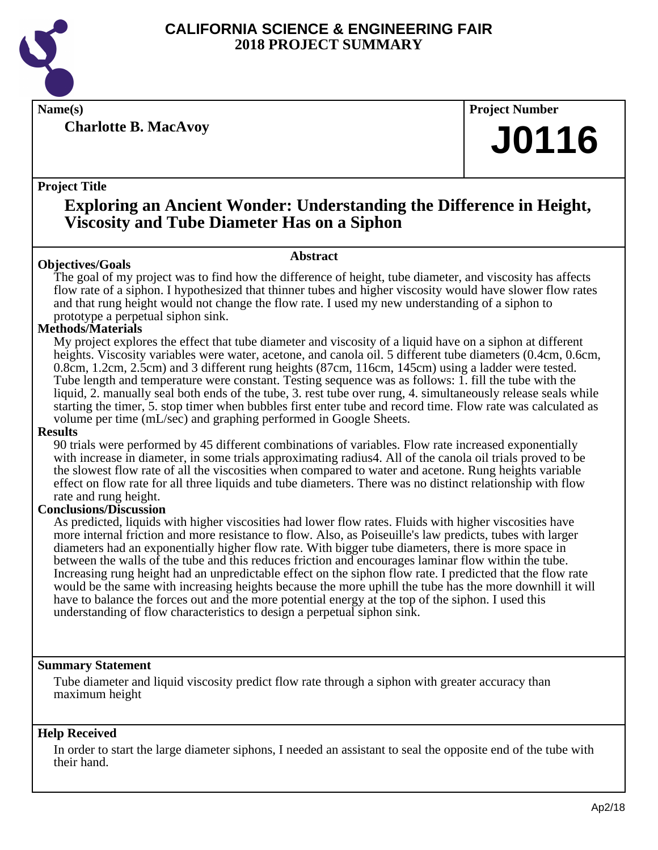

**Charlotte B. MacAvoy**

**Name(s) Project Number**

## **J0116**

#### **Project Title**

## **Exploring an Ancient Wonder: Understanding the Difference in Height, Viscosity and Tube Diameter Has on a Siphon**

#### **Abstract**

**Objectives/Goals** The goal of my project was to find how the difference of height, tube diameter, and viscosity has affects flow rate of a siphon. I hypothesized that thinner tubes and higher viscosity would have slower flow rates and that rung height would not change the flow rate. I used my new understanding of a siphon to prototype a perpetual siphon sink.

#### **Methods/Materials**

My project explores the effect that tube diameter and viscosity of a liquid have on a siphon at different heights. Viscosity variables were water, acetone, and canola oil. 5 different tube diameters (0.4cm, 0.6cm, 0.8cm, 1.2cm, 2.5cm) and 3 different rung heights (87cm, 116cm, 145cm) using a ladder were tested. Tube length and temperature were constant. Testing sequence was as follows: 1. fill the tube with the liquid, 2. manually seal both ends of the tube, 3. rest tube over rung, 4. simultaneously release seals while starting the timer, 5. stop timer when bubbles first enter tube and record time. Flow rate was calculated as volume per time (mL/sec) and graphing performed in Google Sheets.

#### **Results**

90 trials were performed by 45 different combinations of variables. Flow rate increased exponentially with increase in diameter, in some trials approximating radius4. All of the canola oil trials proved to be the slowest flow rate of all the viscosities when compared to water and acetone. Rung heights variable effect on flow rate for all three liquids and tube diameters. There was no distinct relationship with flow rate and rung height.

#### **Conclusions/Discussion**

As predicted, liquids with higher viscosities had lower flow rates. Fluids with higher viscosities have more internal friction and more resistance to flow. Also, as Poiseuille's law predicts, tubes with larger diameters had an exponentially higher flow rate. With bigger tube diameters, there is more space in between the walls of the tube and this reduces friction and encourages laminar flow within the tube. Increasing rung height had an unpredictable effect on the siphon flow rate. I predicted that the flow rate would be the same with increasing heights because the more uphill the tube has the more downhill it will have to balance the forces out and the more potential energy at the top of the siphon. I used this understanding of flow characteristics to design a perpetual siphon sink.

#### **Summary Statement**

Tube diameter and liquid viscosity predict flow rate through a siphon with greater accuracy than maximum height

#### **Help Received**

In order to start the large diameter siphons, I needed an assistant to seal the opposite end of the tube with their hand.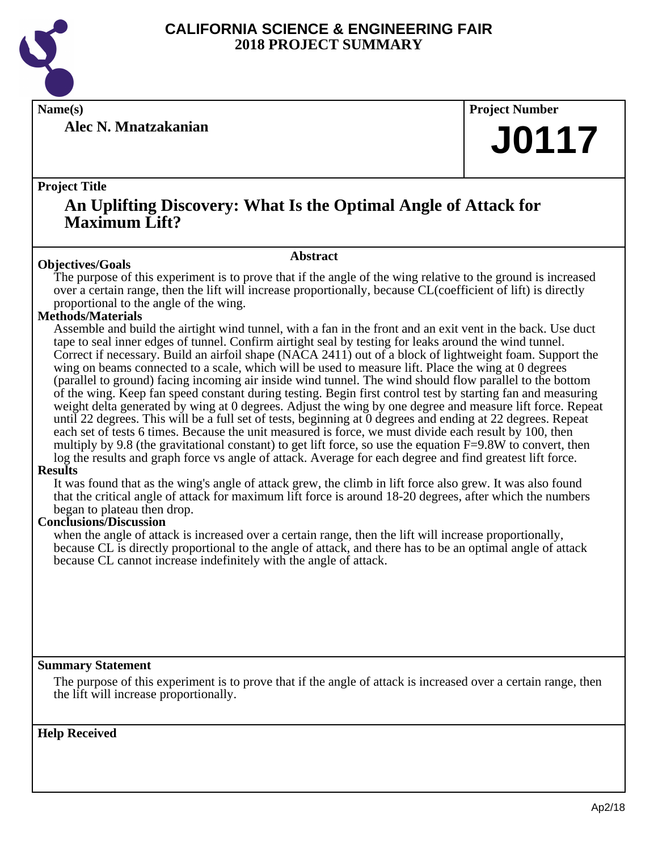

**Alec N. Mnatzakanian**

**Name(s) Project Number**

## **J0117**

#### **Project Title**

### **An Uplifting Discovery: What Is the Optimal Angle of Attack for Maximum Lift?**

#### **Abstract**

**Objectives/Goals** The purpose of this experiment is to prove that if the angle of the wing relative to the ground is increased over a certain range, then the lift will increase proportionally, because CL(coefficient of lift) is directly proportional to the angle of the wing.

#### **Methods/Materials**

Assemble and build the airtight wind tunnel, with a fan in the front and an exit vent in the back. Use duct tape to seal inner edges of tunnel. Confirm airtight seal by testing for leaks around the wind tunnel. Correct if necessary. Build an airfoil shape (NACA 2411) out of a block of lightweight foam. Support the wing on beams connected to a scale, which will be used to measure lift. Place the wing at 0 degrees (parallel to ground) facing incoming air inside wind tunnel. The wind should flow parallel to the bottom of the wing. Keep fan speed constant during testing. Begin first control test by starting fan and measuring weight delta generated by wing at 0 degrees. Adjust the wing by one degree and measure lift force. Repeat until 22 degrees. This will be a full set of tests, beginning at 0 degrees and ending at 22 degrees. Repeat each set of tests 6 times. Because the unit measured is force, we must divide each result by 100, then multiply by 9.8 (the gravitational constant) to get lift force, so use the equation F=9.8W to convert, then log the results and graph force vs angle of attack. Average for each degree and find greatest lift force.

#### **Results**

It was found that as the wing's angle of attack grew, the climb in lift force also grew. It was also found that the critical angle of attack for maximum lift force is around 18-20 degrees, after which the numbers began to plateau then drop.

#### **Conclusions/Discussion**

when the angle of attack is increased over a certain range, then the lift will increase proportionally, because CL is directly proportional to the angle of attack, and there has to be an optimal angle of attack because CL cannot increase indefinitely with the angle of attack.

#### **Summary Statement**

The purpose of this experiment is to prove that if the angle of attack is increased over a certain range, then the lift will increase proportionally.

**Help Received**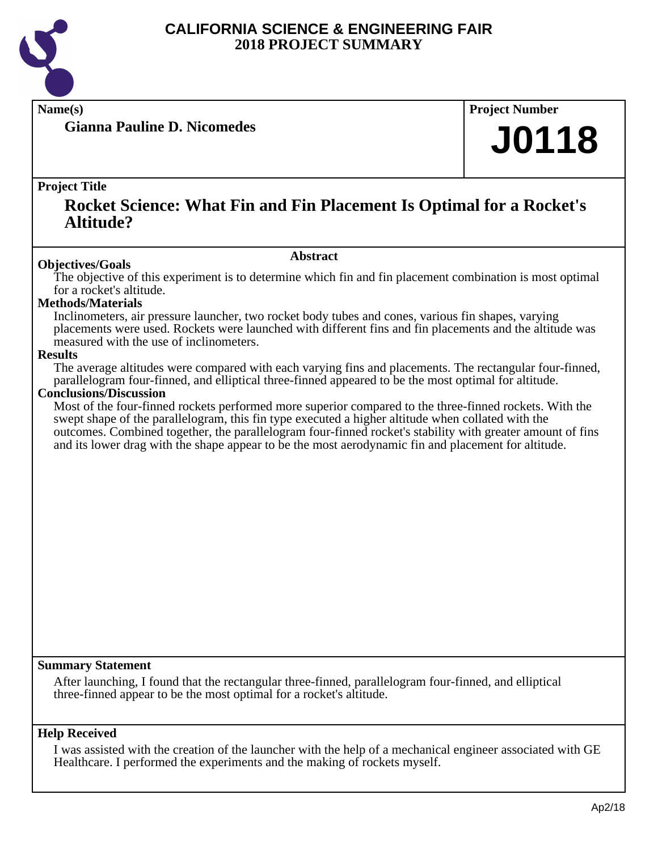

**Gianna Pauline D. Nicomedes**

**Name(s) Project Number**

## **J0118**

#### **Project Title**

### **Rocket Science: What Fin and Fin Placement Is Optimal for a Rocket's Altitude?**

#### **Abstract**

**Objectives/Goals** The objective of this experiment is to determine which fin and fin placement combination is most optimal for a rocket's altitude.

#### **Methods/Materials**

Inclinometers, air pressure launcher, two rocket body tubes and cones, various fin shapes, varying placements were used. Rockets were launched with different fins and fin placements and the altitude was measured with the use of inclinometers.

#### **Results**

The average altitudes were compared with each varying fins and placements. The rectangular four-finned, parallelogram four-finned, and elliptical three-finned appeared to be the most optimal for altitude.

#### **Conclusions/Discussion**

Most of the four-finned rockets performed more superior compared to the three-finned rockets. With the swept shape of the parallelogram, this fin type executed a higher altitude when collated with the outcomes. Combined together, the parallelogram four-finned rocket's stability with greater amount of fins and its lower drag with the shape appear to be the most aerodynamic fin and placement for altitude.

#### **Summary Statement**

After launching, I found that the rectangular three-finned, parallelogram four-finned, and elliptical three-finned appear to be the most optimal for a rocket's altitude.

#### **Help Received**

I was assisted with the creation of the launcher with the help of a mechanical engineer associated with GE Healthcare. I performed the experiments and the making of rockets myself.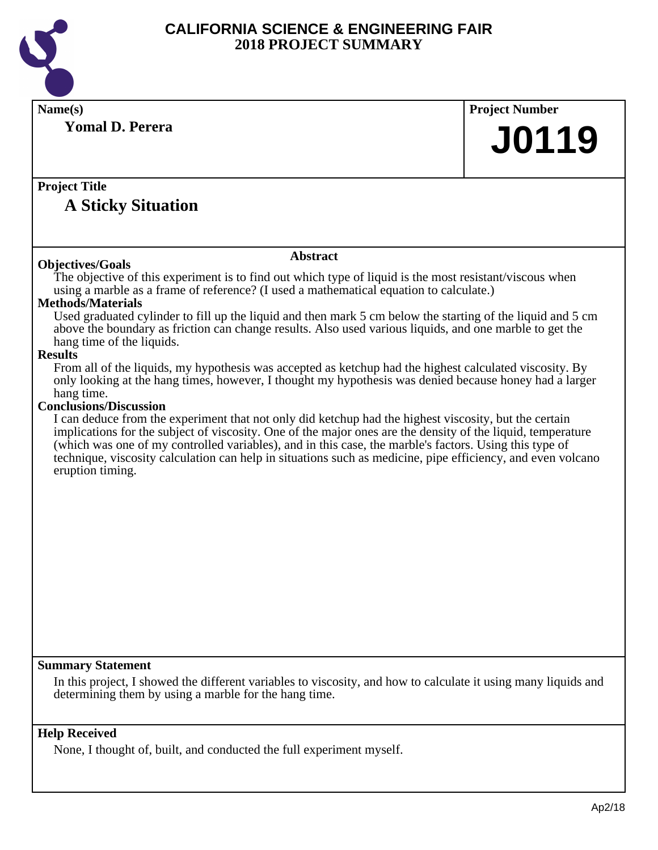

**Name(s) Project Number Project Title Abstract Summary Statement Yomal D. Perera A Sticky Situation J0119 Objectives/Goals** The objective of this experiment is to find out which type of liquid is the most resistant/viscous when using a marble as a frame of reference? (I used a mathematical equation to calculate.) **Methods/Materials** Used graduated cylinder to fill up the liquid and then mark 5 cm below the starting of the liquid and 5 cm above the boundary as friction can change results. Also used various liquids, and one marble to get the hang time of the liquids. **Results** From all of the liquids, my hypothesis was accepted as ketchup had the highest calculated viscosity. By only looking at the hang times, however, I thought my hypothesis was denied because honey had a larger hang time. **Conclusions/Discussion** I can deduce from the experiment that not only did ketchup had the highest viscosity, but the certain implications for the subject of viscosity. One of the major ones are the density of the liquid, temperature (which was one of my controlled variables), and in this case, the marble's factors. Using this type of technique, viscosity calculation can help in situations such as medicine, pipe efficiency, and even volcano eruption timing. In this project, I showed the different variables to viscosity, and how to calculate it using many liquids and determining them by using a marble for the hang time.

#### **Help Received**

None, I thought of, built, and conducted the full experiment myself.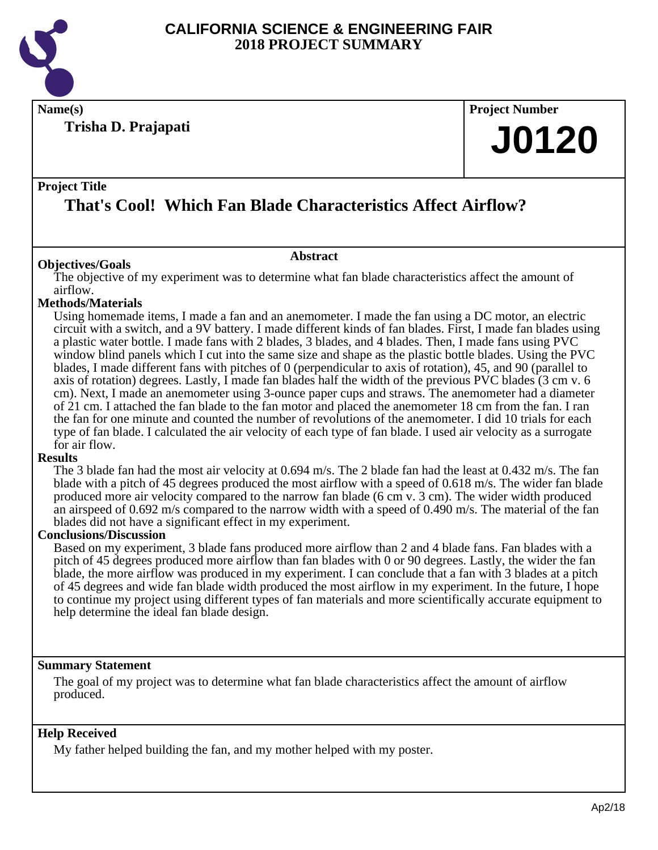

**Name(s) Project Number**

**Trisha D. Prajapati**

# **J0120**

#### **Project Title That's Cool! Which Fan Blade Characteristics Affect Airflow?**

#### **Abstract**

**Objectives/Goals** The objective of my experiment was to determine what fan blade characteristics affect the amount of airflow.

#### **Methods/Materials**

Using homemade items, I made a fan and an anemometer. I made the fan using a DC motor, an electric circuit with a switch, and a 9V battery. I made different kinds of fan blades. First, I made fan blades using a plastic water bottle. I made fans with 2 blades, 3 blades, and 4 blades. Then, I made fans using PVC window blind panels which I cut into the same size and shape as the plastic bottle blades. Using the PVC blades, I made different fans with pitches of 0 (perpendicular to axis of rotation), 45, and 90 (parallel to axis of rotation) degrees. Lastly, I made fan blades half the width of the previous PVC blades (3 cm v. 6 cm). Next, I made an anemometer using 3-ounce paper cups and straws. The anemometer had a diameter of 21 cm. I attached the fan blade to the fan motor and placed the anemometer 18 cm from the fan. I ran the fan for one minute and counted the number of revolutions of the anemometer. I did 10 trials for each type of fan blade. I calculated the air velocity of each type of fan blade. I used air velocity as a surrogate for air flow.

#### **Results**

The 3 blade fan had the most air velocity at 0.694 m/s. The 2 blade fan had the least at 0.432 m/s. The fan blade with a pitch of 45 degrees produced the most airflow with a speed of 0.618 m/s. The wider fan blade produced more air velocity compared to the narrow fan blade (6 cm v. 3 cm). The wider width produced an airspeed of 0.692 m/s compared to the narrow width with a speed of 0.490 m/s. The material of the fan blades did not have a significant effect in my experiment.

#### **Conclusions/Discussion**

Based on my experiment, 3 blade fans produced more airflow than 2 and 4 blade fans. Fan blades with a pitch of 45 degrees produced more airflow than fan blades with 0 or 90 degrees. Lastly, the wider the fan blade, the more airflow was produced in my experiment. I can conclude that a fan with 3 blades at a pitch of 45 degrees and wide fan blade width produced the most airflow in my experiment. In the future, I hope to continue my project using different types of fan materials and more scientifically accurate equipment to help determine the ideal fan blade design.

#### **Summary Statement**

The goal of my project was to determine what fan blade characteristics affect the amount of airflow produced.

#### **Help Received**

My father helped building the fan, and my mother helped with my poster.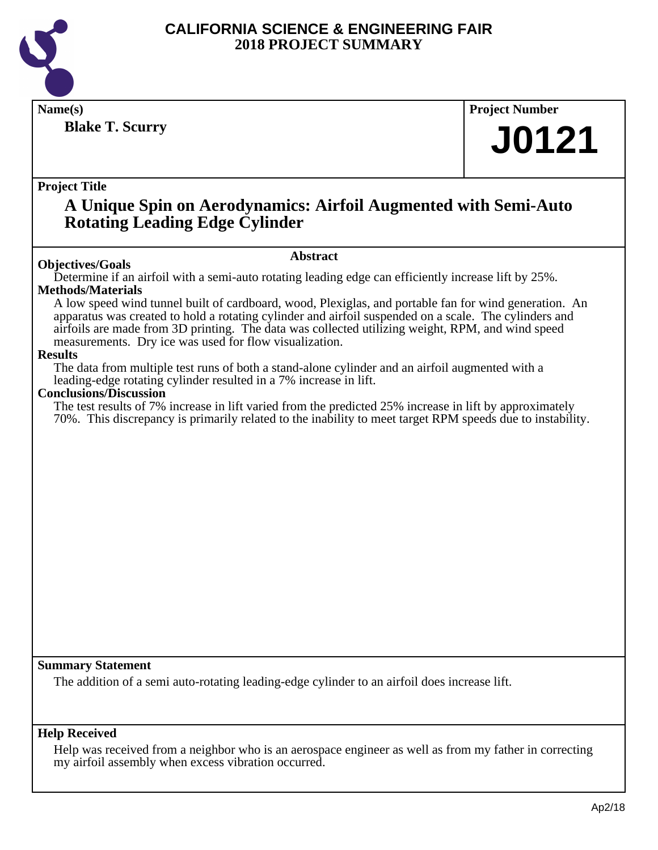

**Blake T. Scurry**

**Name(s) Project Number**

## **J0121**

**Project Title**

### **A Unique Spin on Aerodynamics: Airfoil Augmented with Semi-Auto Rotating Leading Edge Cylinder**

#### **Abstract**

**Objectives/Goals** Determine if an airfoil with a semi-auto rotating leading edge can efficiently increase lift by 25%. **Methods/Materials**

A low speed wind tunnel built of cardboard, wood, Plexiglas, and portable fan for wind generation. An apparatus was created to hold a rotating cylinder and airfoil suspended on a scale. The cylinders and airfoils are made from 3D printing. The data was collected utilizing weight, RPM, and wind speed measurements. Dry ice was used for flow visualization.

#### **Results**

The data from multiple test runs of both a stand-alone cylinder and an airfoil augmented with a leading-edge rotating cylinder resulted in a 7% increase in lift.

#### **Conclusions/Discussion**

The test results of 7% increase in lift varied from the predicted 25% increase in lift by approximately 70%. This discrepancy is primarily related to the inability to meet target RPM speeds due to instability.

**Summary Statement**

The addition of a semi auto-rotating leading-edge cylinder to an airfoil does increase lift.

#### **Help Received**

Help was received from a neighbor who is an aerospace engineer as well as from my father in correcting my airfoil assembly when excess vibration occurred.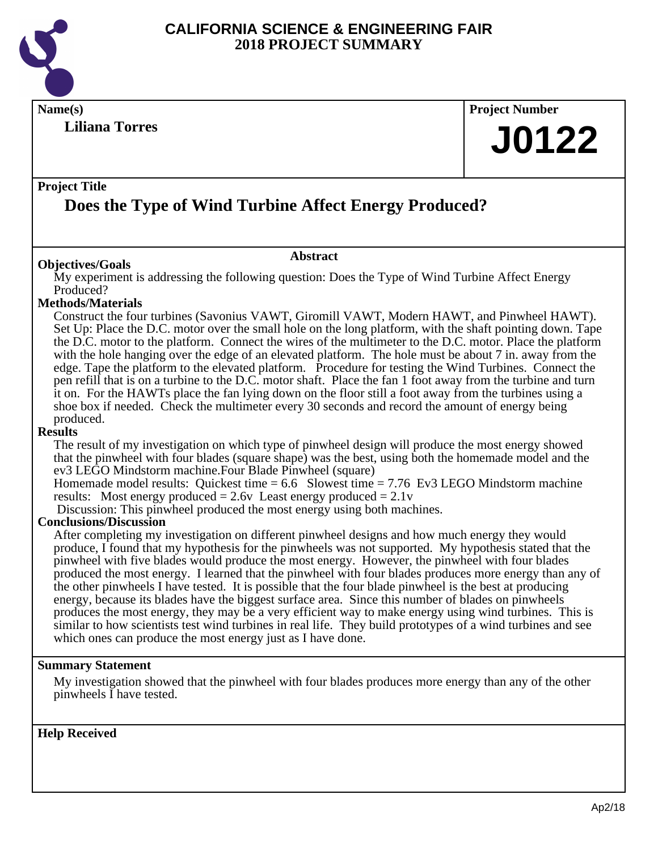

**Liliana Torres**

## **Name(s) Project Number J0122**

#### **Project Title**

## **Does the Type of Wind Turbine Affect Energy Produced?**

#### **Abstract**

**Objectives/Goals** My experiment is addressing the following question: Does the Type of Wind Turbine Affect Energy Produced?

#### **Methods/Materials**

Construct the four turbines (Savonius VAWT, Giromill VAWT, Modern HAWT, and Pinwheel HAWT). Set Up: Place the D.C. motor over the small hole on the long platform, with the shaft pointing down. Tape the D.C. motor to the platform. Connect the wires of the multimeter to the D.C. motor. Place the platform with the hole hanging over the edge of an elevated platform. The hole must be about 7 in. away from the edge. Tape the platform to the elevated platform. Procedure for testing the Wind Turbines. Connect the pen refill that is on a turbine to the D.C. motor shaft. Place the fan 1 foot away from the turbine and turn it on. For the HAWTs place the fan lying down on the floor still a foot away from the turbines using a shoe box if needed. Check the multimeter every 30 seconds and record the amount of energy being produced.

#### **Results**

The result of my investigation on which type of pinwheel design will produce the most energy showed that the pinwheel with four blades (square shape) was the best, using both the homemade model and the ev3 LEGO Mindstorm machine.Four Blade Pinwheel (square)

Homemade model results: Quickest time  $= 6.6$  Slowest time  $= 7.76$  Ev3 LEGO Mindstorm machine results: Most energy produced  $= 2.6v$  Least energy produced  $= 2.1v$ 

Discussion: This pinwheel produced the most energy using both machines.

#### **Conclusions/Discussion**

After completing my investigation on different pinwheel designs and how much energy they would produce, I found that my hypothesis for the pinwheels was not supported. My hypothesis stated that the pinwheel with five blades would produce the most energy. However, the pinwheel with four blades produced the most energy. I learned that the pinwheel with four blades produces more energy than any of the other pinwheels I have tested. It is possible that the four blade pinwheel is the best at producing energy, because its blades have the biggest surface area. Since this number of blades on pinwheels produces the most energy, they may be a very efficient way to make energy using wind turbines. This is similar to how scientists test wind turbines in real life. They build prototypes of a wind turbines and see which ones can produce the most energy just as I have done.

#### **Summary Statement**

My investigation showed that the pinwheel with four blades produces more energy than any of the other pinwheels I have tested.

**Help Received**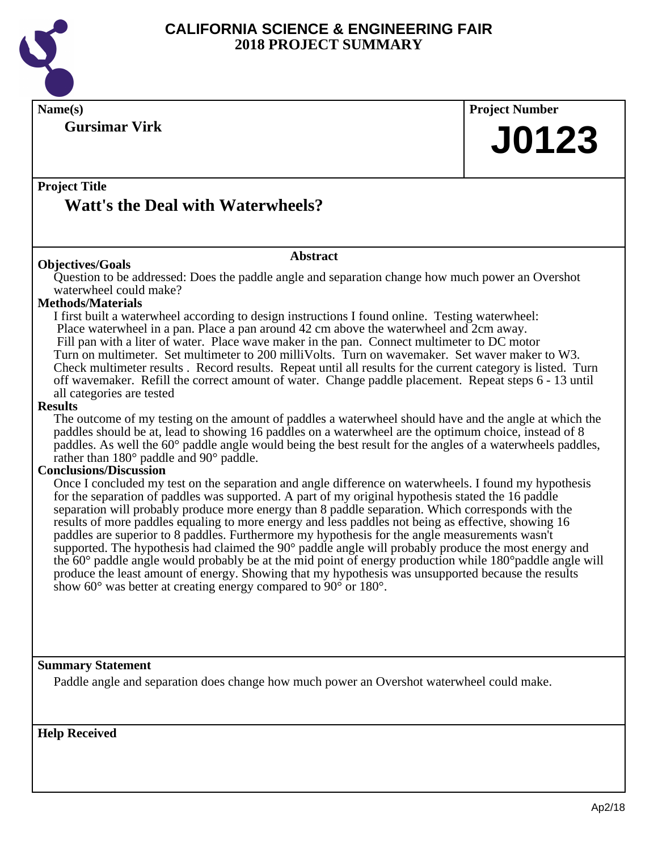

**Name(s) Project Number Project Title Abstract Gursimar Virk Watt's the Deal with Waterwheels? J0123 Objectives/Goals** Question to be addressed: Does the paddle angle and separation change how much power an Overshot waterwheel could make? **Methods/Materials** I first built a waterwheel according to design instructions I found online. Testing waterwheel: Place waterwheel in a pan. Place a pan around 42 cm above the waterwheel and 2cm away. Fill pan with a liter of water. Place wave maker in the pan. Connect multimeter to DC motor Turn on multimeter. Set multimeter to 200 milliVolts. Turn on wavemaker. Set waver maker to W3. Check multimeter results . Record results. Repeat until all results for the current category is listed. Turn off wavemaker. Refill the correct amount of water. Change paddle placement. Repeat steps 6 - 13 until all categories are tested **Results** The outcome of my testing on the amount of paddles a waterwheel should have and the angle at which the paddles should be at, lead to showing 16 paddles on a waterwheel are the optimum choice, instead of 8 paddles. As well the 60° paddle angle would being the best result for the angles of a waterwheels paddles, rather than 180° paddle and 90° paddle. **Conclusions/Discussion** Once I concluded my test on the separation and angle difference on waterwheels. I found my hypothesis for the separation of paddles was supported. A part of my original hypothesis stated the 16 paddle separation will probably produce more energy than 8 paddle separation. Which corresponds with the results of more paddles equaling to more energy and less paddles not being as effective, showing 16

paddles are superior to 8 paddles. Furthermore my hypothesis for the angle measurements wasn't supported. The hypothesis had claimed the 90 $^{\circ}$  paddle angle will probably produce the most energy and the 60° paddle angle would probably be at the mid point of energy production while 180°paddle angle will produce the least amount of energy. Showing that my hypothesis was unsupported because the results show 60° was better at creating energy compared to 90° or 180°.

#### **Summary Statement**

Paddle angle and separation does change how much power an Overshot waterwheel could make.

**Help Received**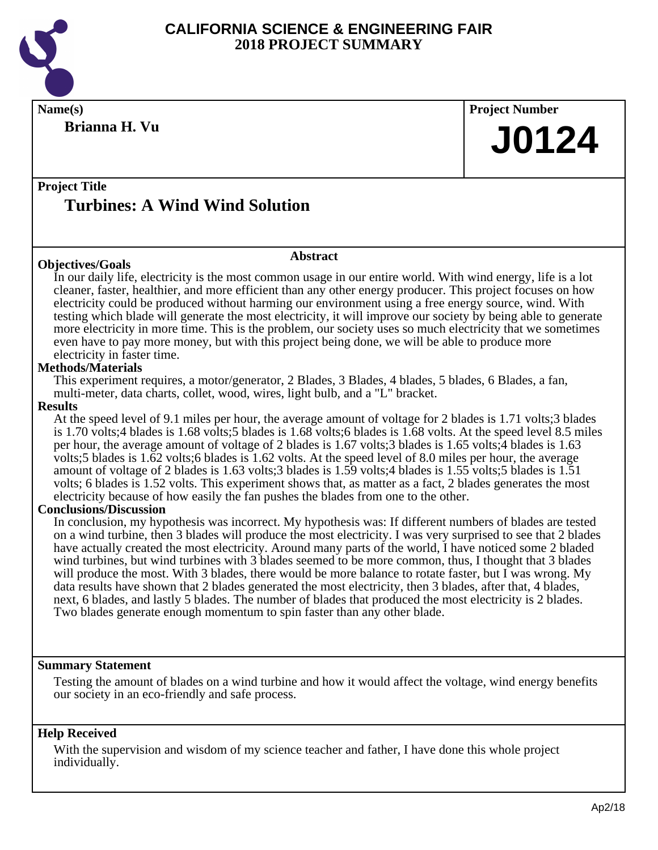

**Brianna H. Vu**

**Name(s) Project Number J0124**

### **Project Title Turbines: A Wind Wind Solution**

#### **Objectives/Goals**

#### **Abstract**

In our daily life, electricity is the most common usage in our entire world. With wind energy, life is a lot cleaner, faster, healthier, and more efficient than any other energy producer. This project focuses on how electricity could be produced without harming our environment using a free energy source, wind. With testing which blade will generate the most electricity, it will improve our society by being able to generate more electricity in more time. This is the problem, our society uses so much electricity that we sometimes even have to pay more money, but with this project being done, we will be able to produce more electricity in faster time.

#### **Methods/Materials**

This experiment requires, a motor/generator, 2 Blades, 3 Blades, 4 blades, 5 blades, 6 Blades, a fan, multi-meter, data charts, collet, wood, wires, light bulb, and a "L" bracket.

#### **Results**

At the speed level of 9.1 miles per hour, the average amount of voltage for 2 blades is 1.71 volts;3 blades is 1.70 volts;4 blades is 1.68 volts;5 blades is 1.68 volts;6 blades is 1.68 volts. At the speed level 8.5 miles per hour, the average amount of voltage of 2 blades is 1.67 volts;3 blades is 1.65 volts;4 blades is 1.63 volts;5 blades is 1.62 volts;6 blades is 1.62 volts. At the speed level of 8.0 miles per hour, the average amount of voltage of 2 blades is 1.63 volts;3 blades is 1.59 volts;4 blades is 1.55 volts;5 blades is 1.51 volts; 6 blades is 1.52 volts. This experiment shows that, as matter as a fact, 2 blades generates the most electricity because of how easily the fan pushes the blades from one to the other.

#### **Conclusions/Discussion**

In conclusion, my hypothesis was incorrect. My hypothesis was: If different numbers of blades are tested on a wind turbine, then 3 blades will produce the most electricity. I was very surprised to see that 2 blades have actually created the most electricity. Around many parts of the world, I have noticed some 2 bladed wind turbines, but wind turbines with 3 blades seemed to be more common, thus, I thought that 3 blades will produce the most. With 3 blades, there would be more balance to rotate faster, but I was wrong. My data results have shown that 2 blades generated the most electricity, then 3 blades, after that, 4 blades, next, 6 blades, and lastly 5 blades. The number of blades that produced the most electricity is 2 blades. Two blades generate enough momentum to spin faster than any other blade.

#### **Summary Statement**

Testing the amount of blades on a wind turbine and how it would affect the voltage, wind energy benefits our society in an eco-friendly and safe process.

#### **Help Received**

With the supervision and wisdom of my science teacher and father, I have done this whole project individually.